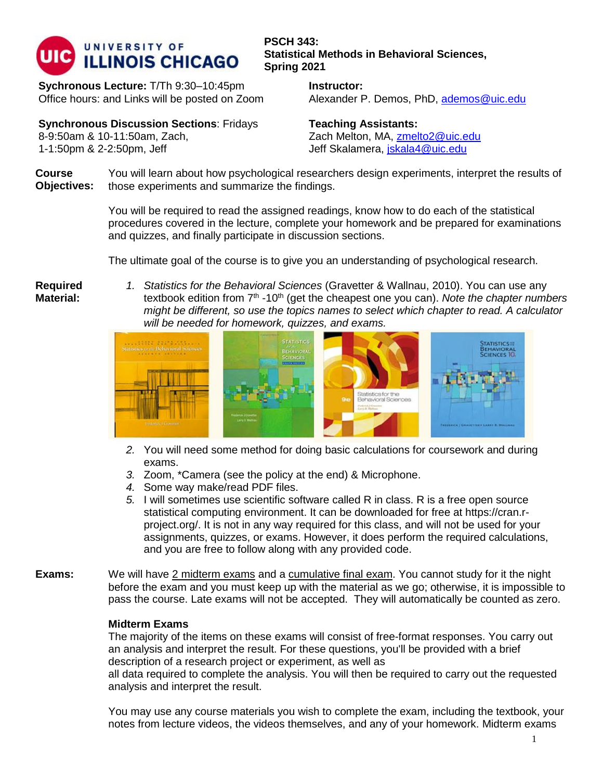

**Sychronous Lecture:** T/Th 9:30–10:45pm Office hours: and Links will be posted on Zoom

**PSCH 343: Statistical Methods in Behavioral Sciences, Spring 2021**

> **Instructor:**  Alexander P. Demos, PhD, [ademos@uic.edu](mailto:ademos@uic.edu)

**Synchronous Discussion Sections**: Fridays 8-9:50am & 10-11:50am, Zach, 1-1:50pm & 2-2:50pm, Jeff

**Teaching Assistants:** Zach Melton, MA, [zmelto2@uic.edu](mailto:zmelto2@uic.edu) Jeff Skalamera, [jskala4@uic.edu](mailto:jskala4@uic.edu)

**Course Objectives:** You will learn about how psychological researchers design experiments, interpret the results of those experiments and summarize the findings.

> You will be required to read the assigned readings, know how to do each of the statistical procedures covered in the lecture, complete your homework and be prepared for examinations and quizzes, and finally participate in discussion sections.

The ultimate goal of the course is to give you an understanding of psychological research.

**Required Material:**

*1. Statistics for the Behavioral Sciences* (Gravetter & Wallnau, 2010). You can use any textbook edition from 7<sup>th</sup> -10<sup>th</sup> (get the cheapest one you can). *Note the chapter numbers might be different, so use the topics names to select which chapter to read. A calculator will be needed for homework, quizzes, and exams.*



- *2.* You will need some method for doing basic calculations for coursework and during exams.
- *3.* Zoom, \*Camera (see the policy at the end) & Microphone.
- *4.* Some way make/read PDF files.
- *5.* I will sometimes use scientific software called R in class. R is a free open source statistical computing environment. It can be downloaded for free at https://cran.rproject.org/. It is not in any way required for this class, and will not be used for your assignments, quizzes, or exams. However, it does perform the required calculations, and you are free to follow along with any provided code.
- **Exams:** We will have 2 midterm exams and a cumulative final exam. You cannot study for it the night before the exam and you must keep up with the material as we go; otherwise, it is impossible to pass the course. Late exams will not be accepted. They will automatically be counted as zero.

## **Midterm Exams**

The majority of the items on these exams will consist of free-format responses. You carry out an analysis and interpret the result. For these questions, you'll be provided with a brief description of a research project or experiment, as well as

all data required to complete the analysis. You will then be required to carry out the requested analysis and interpret the result.

You may use any course materials you wish to complete the exam, including the textbook, your notes from lecture videos, the videos themselves, and any of your homework. Midterm exams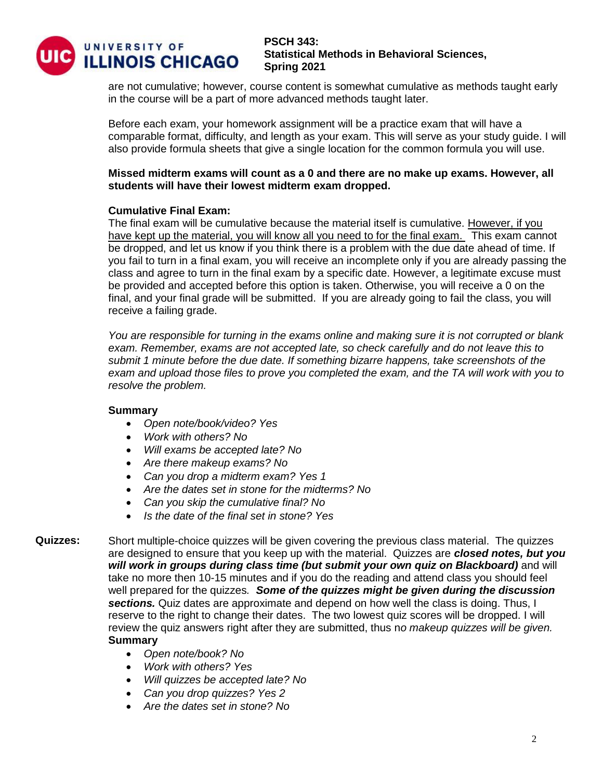

are not cumulative; however, course content is somewhat cumulative as methods taught early in the course will be a part of more advanced methods taught later.

Before each exam, your homework assignment will be a practice exam that will have a comparable format, difficulty, and length as your exam. This will serve as your study guide. I will also provide formula sheets that give a single location for the common formula you will use.

## **Missed midterm exams will count as a 0 and there are no make up exams. However, all students will have their lowest midterm exam dropped.**

## **Cumulative Final Exam:**

The final exam will be cumulative because the material itself is cumulative. However, if you have kept up the material, you will know all you need to for the final exam. This exam cannot be dropped, and let us know if you think there is a problem with the due date ahead of time. If you fail to turn in a final exam, you will receive an incomplete only if you are already passing the class and agree to turn in the final exam by a specific date. However, a legitimate excuse must be provided and accepted before this option is taken. Otherwise, you will receive a 0 on the final, and your final grade will be submitted. If you are already going to fail the class, you will receive a failing grade.

*You are responsible for turning in the exams online and making sure it is not corrupted or blank exam. Remember, exams are not accepted late, so check carefully and do not leave this to submit 1 minute before the due date. If something bizarre happens, take screenshots of the exam and upload those files to prove you completed the exam, and the TA will work with you to resolve the problem.* 

#### **Summary**

- *Open note/book/video? Yes*
- *Work with others? No*
- *Will exams be accepted late? No*
- *Are there makeup exams? No*
- *Can you drop a midterm exam? Yes 1*
- *Are the dates set in stone for the midterms? No*
- *Can you skip the cumulative final? No*
- *Is the date of the final set in stone? Yes*
- **Quizzes:** Short multiple-choice quizzes will be given covering the previous class material. The quizzes are designed to ensure that you keep up with the material. Quizzes are *closed notes, but you will work in groups during class time (but submit your own quiz on Blackboard)* and will take no more then 10-15 minutes and if you do the reading and attend class you should feel well prepared for the quizzes*. Some of the quizzes might be given during the discussion sections.* Quiz dates are approximate and depend on how well the class is doing. Thus, I reserve to the right to change their dates. The two lowest quiz scores will be dropped. I will review the quiz answers right after they are submitted, thus n*o makeup quizzes will be given.* **Summary** 
	- *Open note/book? No*
	- *Work with others? Yes*
	- *Will quizzes be accepted late? No*
	- *Can you drop quizzes? Yes 2*
	- *Are the dates set in stone? No*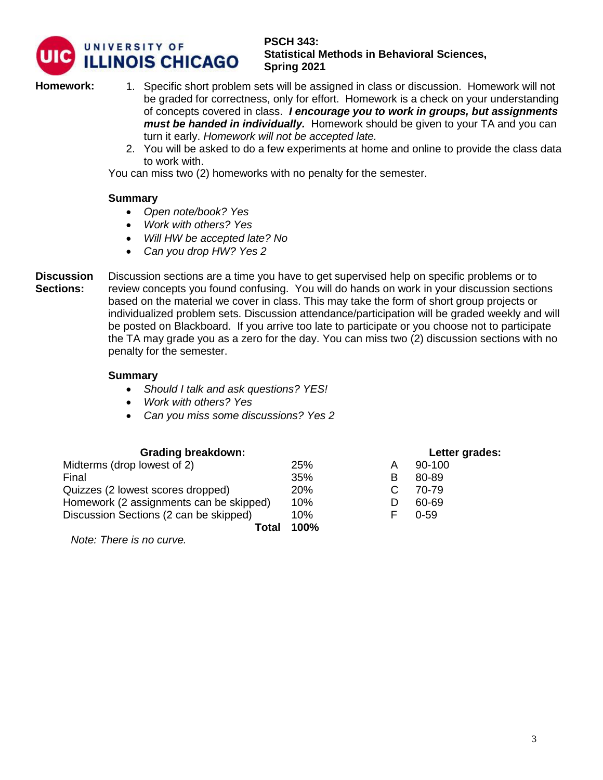

**Homework:** 1. Specific short problem sets will be assigned in class or discussion. Homework will not be graded for correctness, only for effort. Homework is a check on your understanding of concepts covered in class. *I encourage you to work in groups, but assignments must be handed in individually.* Homework should be given to your TA and you can turn it early. *Homework will not be accepted late.* 

2. You will be asked to do a few experiments at home and online to provide the class data to work with.

You can miss two (2) homeworks with no penalty for the semester.

### **Summary**

- *Open note/book? Yes*
- *Work with others? Yes*
- *Will HW be accepted late? No*
- *Can you drop HW? Yes 2*
- **Discussion Sections:** Discussion sections are a time you have to get supervised help on specific problems or to review concepts you found confusing. You will do hands on work in your discussion sections based on the material we cover in class. This may take the form of short group projects or individualized problem sets. Discussion attendance/participation will be graded weekly and will be posted on Blackboard. If you arrive too late to participate or you choose not to participate the TA may grade you as a zero for the day. You can miss two (2) discussion sections with no penalty for the semester.

#### **Summary**

- *Should I talk and ask questions? YES!*
- *Work with others? Yes*
- *Can you miss some discussions? Yes 2*

| <b>Grading breakdown:</b>               |            |   | Letter grades: |
|-----------------------------------------|------------|---|----------------|
| Midterms (drop lowest of 2)             | 25%        | Α | 90-100         |
| Final                                   | 35%        | в | 80-89          |
| Quizzes (2 lowest scores dropped)       | <b>20%</b> |   | 70-79          |
| Homework (2 assignments can be skipped) | 10%        |   | 60-69          |
| Discussion Sections (2 can be skipped)  | 10%        |   | $0 - 59$       |
| Total                                   | 100%       |   |                |
|                                         |            |   |                |

*Note: There is no curve.*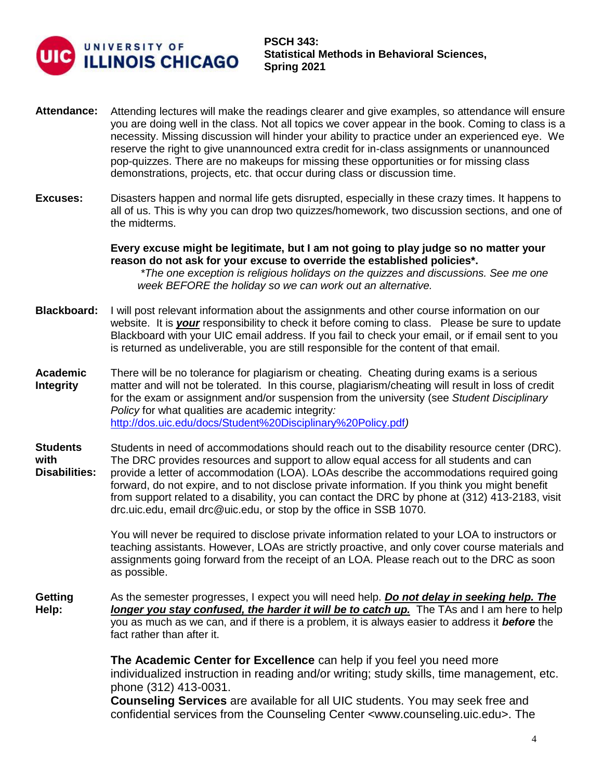

- **Attendance:** Attending lectures will make the readings clearer and give examples, so attendance will ensure you are doing well in the class. Not all topics we cover appear in the book. Coming to class is a necessity. Missing discussion will hinder your ability to practice under an experienced eye. We reserve the right to give unannounced extra credit for in-class assignments or unannounced pop-quizzes. There are no makeups for missing these opportunities or for missing class demonstrations, projects, etc. that occur during class or discussion time.
- **Excuses:** Disasters happen and normal life gets disrupted, especially in these crazy times. It happens to all of us. This is why you can drop two quizzes/homework, two discussion sections, and one of the midterms.

**Every excuse might be legitimate, but I am not going to play judge so no matter your reason do not ask for your excuse to override the established policies\*.** 

*\*The one exception is religious holidays on the quizzes and discussions. See me one week BEFORE the holiday so we can work out an alternative.* 

- **Blackboard:** I will post relevant information about the assignments and other course information on our website. It is *your* responsibility to check it before coming to class. Please be sure to update Blackboard with your UIC email address. If you fail to check your email, or if email sent to you is returned as undeliverable, you are still responsible for the content of that email.
- **Academic Integrity**  There will be no tolerance for plagiarism or cheating. Cheating during exams is a serious matter and will not be tolerated. In this course, plagiarism/cheating will result in loss of credit for the exam or assignment and/or suspension from the university (see *Student Disciplinary Policy* for what qualities are academic integrity*:* <http://dos.uic.edu/docs/Student%20Disciplinary%20Policy.pdf>*)*
- **Students with Disabilities:** Students in need of accommodations should reach out to the disability resource center (DRC). The DRC provides resources and support to allow equal access for all students and can provide a letter of accommodation (LOA). LOAs describe the accommodations required going forward, do not expire, and to not disclose private information. If you think you might benefit from support related to a disability, you can contact the DRC by phone at (312) 413-2183, visit drc.uic.edu, email drc@uic.edu, or stop by the office in SSB 1070.

You will never be required to disclose private information related to your LOA to instructors or teaching assistants. However, LOAs are strictly proactive, and only cover course materials and assignments going forward from the receipt of an LOA. Please reach out to the DRC as soon as possible.

**Getting Help:** As the semester progresses, I expect you will need help. *Do not delay in seeking help. The longer you stay confused, the harder it will be to catch up.* The TAs and I am here to help you as much as we can, and if there is a problem, it is always easier to address it *before* the fact rather than after it.

> **The Academic Center for Excellence** can help if you feel you need more individualized instruction in reading and/or writing; study skills, time management, etc. phone (312) 413-0031.

**Counseling Services** are available for all UIC students. You may seek free and confidential services from the Counseling Center <www.counseling.uic.edu>. The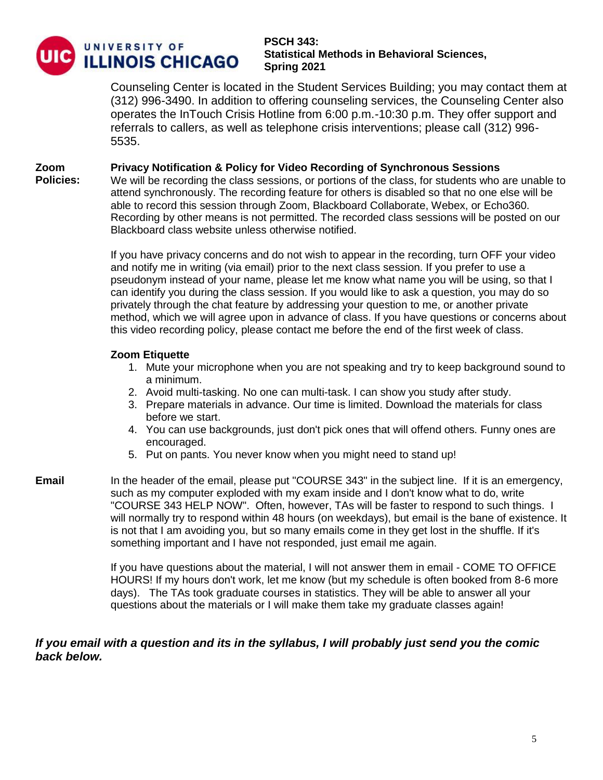

**Policies:** 

## **PSCH 343: Statistical Methods in Behavioral Sciences, Spring 2021**

Counseling Center is located in the Student Services Building; you may contact them at (312) 996-3490. In addition to offering counseling services, the Counseling Center also operates the InTouch Crisis Hotline from 6:00 p.m.-10:30 p.m. They offer support and referrals to callers, as well as telephone crisis interventions; please call (312) 996- 5535.

#### **Zoom Privacy Notification & Policy for Video Recording of Synchronous Sessions**

We will be recording the class sessions, or portions of the class, for students who are unable to attend synchronously. The recording feature for others is disabled so that no one else will be able to record this session through Zoom, Blackboard Collaborate, Webex, or Echo360. Recording by other means is not permitted. The recorded class sessions will be posted on our Blackboard class website unless otherwise notified.

If you have privacy concerns and do not wish to appear in the recording, turn OFF your video and notify me in writing (via email) prior to the next class session. If you prefer to use a pseudonym instead of your name, please let me know what name you will be using, so that I can identify you during the class session. If you would like to ask a question, you may do so privately through the chat feature by addressing your question to me, or another private method, which we will agree upon in advance of class. If you have questions or concerns about this video recording policy, please contact me before the end of the first week of class.

## **Zoom Etiquette**

- 1. Mute your microphone when you are not speaking and try to keep background sound to a minimum.
- 2. Avoid multi-tasking. No one can multi-task. I can show you study after study.
- 3. Prepare materials in advance. Our time is limited. Download the materials for class before we start.
- 4. You can use backgrounds, just don't pick ones that will offend others. Funny ones are encouraged.
- 5. Put on pants. You never know when you might need to stand up!
- **Email** In the header of the email, please put "COURSE 343" in the subject line. If it is an emergency, such as my computer exploded with my exam inside and I don't know what to do, write "COURSE 343 HELP NOW". Often, however, TAs will be faster to respond to such things. I will normally try to respond within 48 hours (on weekdays), but email is the bane of existence. It is not that I am avoiding you, but so many emails come in they get lost in the shuffle. If it's something important and I have not responded, just email me again.

If you have questions about the material, I will not answer them in email - COME TO OFFICE HOURS! If my hours don't work, let me know (but my schedule is often booked from 8-6 more days). The TAs took graduate courses in statistics. They will be able to answer all your questions about the materials or I will make them take my graduate classes again!

# *If you email with a question and its in the syllabus, I will probably just send you the comic back below.*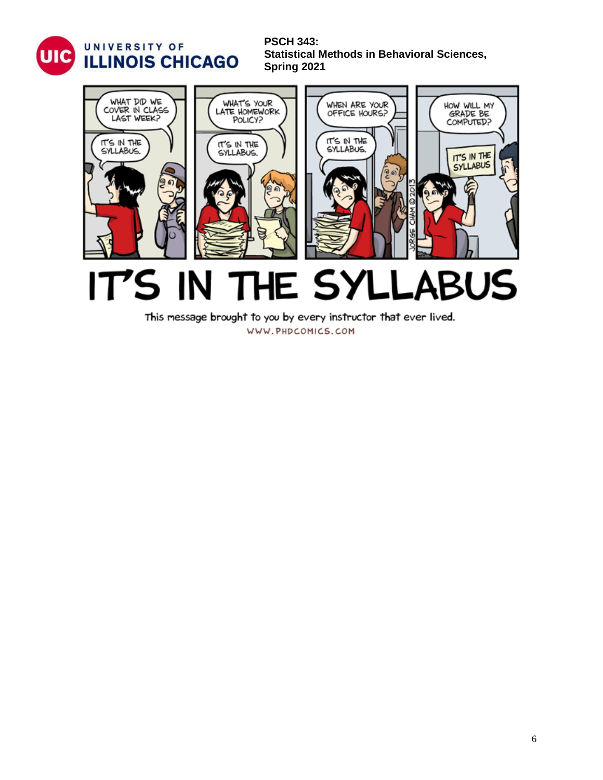



This message brought to you by every instructor that ever lived.

WWW.PHDCOMICS.COM